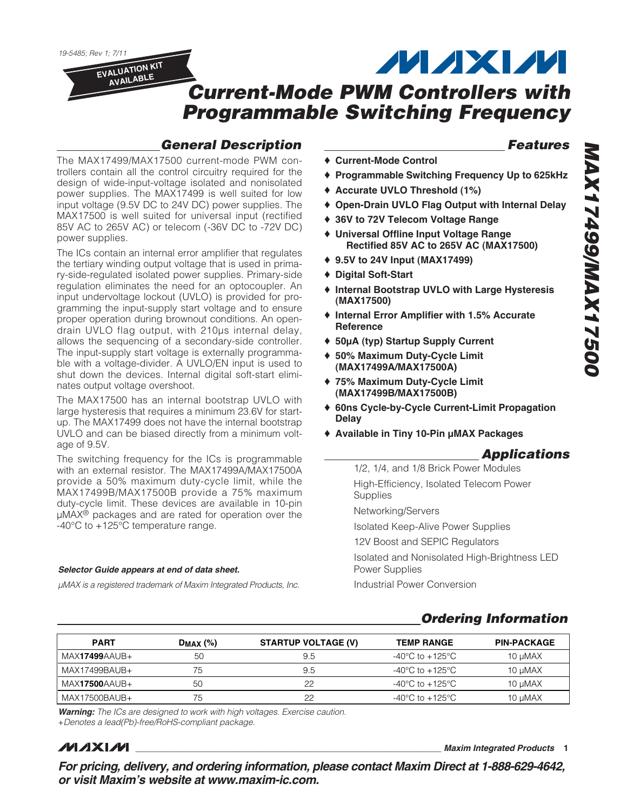19-5485; Rev 1; 7/11

**EVALUATION KIT AVAILABLE**

**MAXM** 

# **Current-Mode PWM Controllers with Programmable Switching Frequency**

## **General Description**

The MAX17499/MAX17500 current-mode PWM controllers contain all the control circuitry required for the design of wide-input-voltage isolated and nonisolated power supplies. The MAX17499 is well suited for low input voltage (9.5V DC to 24V DC) power supplies. The MAX17500 is well suited for universal input (rectified 85V AC to 265V AC) or telecom (-36V DC to -72V DC) power supplies.

The ICs contain an internal error amplifier that regulates the tertiary winding output voltage that is used in primary-side-regulated isolated power supplies. Primary-side regulation eliminates the need for an optocoupler. An input undervoltage lockout (UVLO) is provided for programming the input-supply start voltage and to ensure proper operation during brownout conditions. An opendrain UVLO flag output, with 210μs internal delay, allows the sequencing of a secondary-side controller. The input-supply start voltage is externally programmable with a voltage-divider. A UVLO/EN input is used to shut down the devices. Internal digital soft-start eliminates output voltage overshoot.

The MAX17500 has an internal bootstrap UVLO with large hysteresis that requires a minimum 23.6V for startup. The MAX17499 does not have the internal bootstrap UVLO and can be biased directly from a minimum voltage of 9.5V.

The switching frequency for the ICs is programmable with an external resistor. The MAX17499A/MAX17500A provide a 50% maximum duty-cycle limit, while the MAX17499B/MAX17500B provide a 75% maximum duty-cycle limit. These devices are available in 10-pin μMAX® packages and are rated for operation over the -40°C to +125°C temperature range.

#### **Selector Guide appears at end of data sheet.**

μMAX is a registered trademark of Maxim Integrated Products, Inc.

## **Features**

- ♦ **Current-Mode Control**
- ♦ **Programmable Switching Frequency Up to 625kHz**
- ♦ **Accurate UVLO Threshold (1%)**
- ♦ **Open-Drain UVLO Flag Output with Internal Delay**
- ♦ **36V to 72V Telecom Voltage Range**
- ♦ **Universal Offline Input Voltage Range Rectified 85V AC to 265V AC (MAX17500)**
- ♦ **9.5V to 24V Input (MAX17499)**
- ♦ **Digital Soft-Start**
- ♦ **Internal Bootstrap UVLO with Large Hysteresis (MAX17500)**
- ♦ **Internal Error Amplifier with 1.5% Accurate Reference**
- ♦ **50µA (typ) Startup Supply Current**
- ♦ **50% Maximum Duty-Cycle Limit (MAX17499A/MAX17500A)**
- ♦ **75% Maximum Duty-Cycle Limit (MAX17499B/MAX17500B)**
- ♦ **60ns Cycle-by-Cycle Current-Limit Propagation Delay**
- ♦ **Available in Tiny 10-Pin µMAX Packages**

## **Applications**

1/2, 1/4, and 1/8 Brick Power Modules High-Efficiency, Isolated Telecom Power Supplies Networking/Servers Isolated Keep-Alive Power Supplies 12V Boost and SEPIC Regulators Isolated and Nonisolated High-Brightness LED Power Supplies Industrial Power Conversion

## **Ordering Information**

| <b>PART</b>   | $D_{MAX}$ (%) | <b>STARTUP VOLTAGE (V)</b> | <b>TEMP RANGE</b> | <b>PIN-PACKAGE</b>  |
|---------------|---------------|----------------------------|-------------------|---------------------|
| MAX17499AAUB+ | 50            | 9.5                        | -40°C to +125°C   | 10 µMAX             |
| MAX17499BAUB+ | 75            | 9.5                        | -40°C to +125°C   | $10 \mu \text{MAX}$ |
| MAX17500AAUB+ | 50            | 22                         | -40°C to +125°C   | 10 $\mu$ MAX        |
| MAX17500BAUB+ | 75            | 22                         | -40°C to +125°C   | 10 µMAX             |

**Warning:** The ICs are designed to work with high voltages. Exercise caution.

+Denotes a lead(Pb)-free/RoHS-compliant package.

## **MAXIM**

**\_\_\_\_\_\_\_\_\_\_\_\_\_\_\_\_\_\_\_\_\_\_\_\_\_\_\_\_\_\_\_\_\_\_\_\_\_\_\_\_\_\_\_\_\_\_\_\_\_\_\_\_\_\_\_\_\_\_\_\_\_\_\_\_ Maxim Integrated Products 1**

**For pricing, delivery, and ordering information, please contact Maxim Direct at 1-888-629-4642, or visit Maxim's website at www.maxim-ic.com.**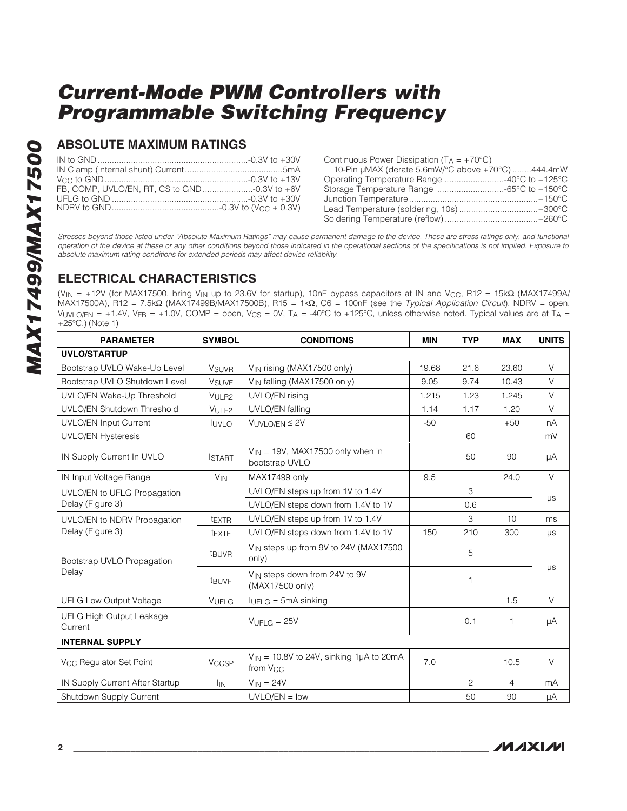### **ABSOLUTE MAXIMUM RATINGS**

Continuous Power Dissipation  $(T_A = +70^{\circ}C)$ 

| 10-Pin µMAX (derate 5.6mW/°C above +70°C) 444.4mW |  |
|---------------------------------------------------|--|
|                                                   |  |
|                                                   |  |
|                                                   |  |
| Lead Temperature (soldering, 10s) +300°C          |  |
|                                                   |  |

Stresses beyond those listed under "Absolute Maximum Ratings" may cause permanent damage to the device. These are stress ratings only, and functional operation of the device at these or any other conditions beyond those indicated in the operational sections of the specifications is not implied. Exposure to absolute maximum rating conditions for extended periods may affect device reliability.

## **ELECTRICAL CHARACTERISTICS**

(VIN = +12V (for MAX17500, bring VIN up to 23.6V for startup), 10nF bypass capacitors at IN and VCC, R12 = 15kΩ (MAX17499A/ MAX17500A), R12 = 7.5kΩ (MAX17499B/MAX17500B), R15 = 1kΩ, C6 = 100nF (see the Typical Application Circuit), NDRV = open, VUVLO/EN =  $+1.4V$ , VFB =  $+1.0V$ , COMP = open, Vcs = 0V, TA = -40°C to  $+125$ °C, unless otherwise noted. Typical values are at TA = +25°C.) (Note 1)

| <b>PARAMETER</b>                    | <b>SYMBOL</b>           | <b>CONDITIONS</b>                                                    | <b>MIN</b> | <b>TYP</b> | <b>MAX</b> | <b>UNITS</b> |  |
|-------------------------------------|-------------------------|----------------------------------------------------------------------|------------|------------|------------|--------------|--|
| <b>UVLO/STARTUP</b>                 |                         |                                                                      |            |            |            |              |  |
| Bootstrap UVLO Wake-Up Level        | <b>V<sub>SUVR</sub></b> | V <sub>IN</sub> rising (MAX17500 only)                               | 19.68      | 21.6       | 23.60      | $\vee$       |  |
| Bootstrap UVLO Shutdown Level       | <b>V<sub>SUVF</sub></b> | V <sub>IN</sub> falling (MAX17500 only)                              | 9.05       | 9.74       | 10.43      | V            |  |
| UVLO/EN Wake-Up Threshold           | V <sub>ULR2</sub>       | UVLO/EN rising                                                       | 1.215      | 1.23       | 1.245      | $\vee$       |  |
| <b>UVLO/EN Shutdown Threshold</b>   | VULF <sub>2</sub>       | <b>UVLO/EN falling</b>                                               | 1.14       | 1.17       | 1.20       | $\vee$       |  |
| <b>UVLO/EN Input Current</b>        | <b>IUVLO</b>            | $VUVLO/EN \leq 2V$                                                   | $-50$      |            | $+50$      | nA           |  |
| <b>UVLO/EN Hysteresis</b>           |                         |                                                                      |            | 60         |            | mV           |  |
| IN Supply Current In UVLO           | <b>ISTART</b>           | $V_{IN}$ = 19V, MAX17500 only when in<br>bootstrap UVLO              |            | 50         | 90         | μA           |  |
| IN Input Voltage Range              | $V_{IN}$                | MAX17499 only                                                        | 9.5        |            | 24.0       | $\vee$       |  |
| UVLO/EN to UFLG Propagation         |                         | UVLO/EN steps up from 1V to 1.4V                                     |            | 3          |            |              |  |
| Delay (Figure 3)                    |                         | UVLO/EN steps down from 1.4V to 1V                                   |            | 0.6        |            | $\mu s$      |  |
| UVLO/EN to NDRV Propagation         | texte                   | UVLO/EN steps up from 1V to 1.4V                                     |            | 3          | 10         | ms           |  |
| Delay (Figure 3)                    | tEXTF                   | UVLO/EN steps down from 1.4V to 1V                                   | 150        | 210        | 300        | μs           |  |
| Bootstrap UVLO Propagation          | t <sub>BUVR</sub>       | V <sub>IN</sub> steps up from 9V to 24V (MAX17500)<br>only)          |            | 5          |            | μs           |  |
| Delay                               | <b>t<sub>BUVF</sub></b> | V <sub>IN</sub> steps down from 24V to 9V<br>(MAX17500 only)         |            | 1          |            |              |  |
| <b>UFLG Low Output Voltage</b>      | VUFLG                   | $I_{UFLG} = 5mA \sinking$                                            |            |            | 1.5        | $\vee$       |  |
| UFLG High Output Leakage<br>Current |                         | $V$ UFLG = 25V                                                       |            | 0.1        | 1          | μA           |  |
| <b>INTERNAL SUPPLY</b>              |                         |                                                                      |            |            |            |              |  |
| V <sub>CC</sub> Regulator Set Point | <b>V<sub>CCSP</sub></b> | $V_{IN}$ = 10.8V to 24V, sinking 1µA to 20mA<br>from V <sub>CC</sub> | 7.0        |            | 10.5       | $\vee$       |  |
| IN Supply Current After Startup     | <sup>I</sup> IN         | $V_{IN} = 24V$                                                       |            | 2          | 4          | mA           |  |
| Shutdown Supply Current             |                         | $UVLO/EN = low$                                                      |            | 50         | 90         | μA           |  |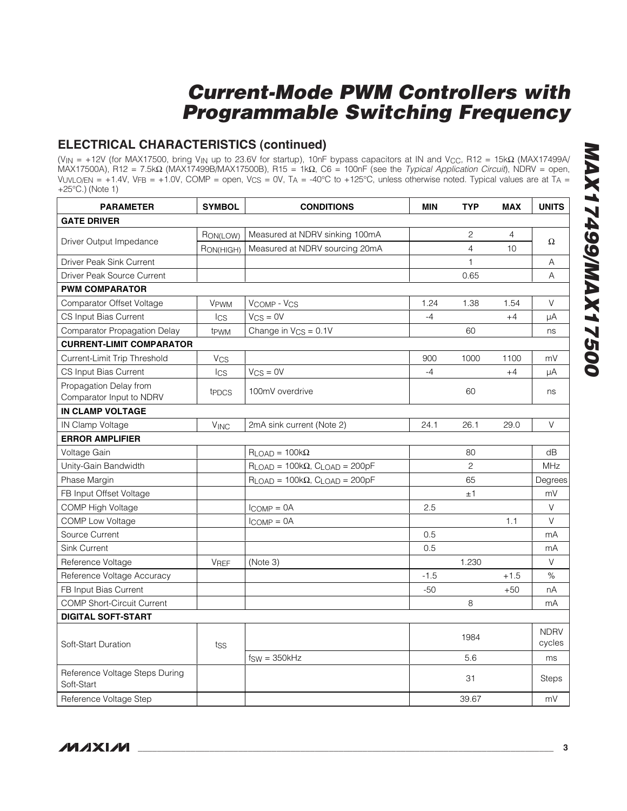## **ELECTRICAL CHARACTERISTICS (continued)**

(V<sub>IN</sub> = +12V (for MAX17500, bring V<sub>IN</sub> up to 23.6V for startup), 10nF bypass capacitors at IN and V<sub>CC</sub>, R12 = 15kΩ (MAX17499A/ MAX17500A), R12 = 7.5kΩ (MAX17499B/MAX17500B), R15 = 1kΩ, C6 = 100nF (see the Typical Application Circuit), NDRV = open, VUVLO/EN = +1.4V, VFB = +1.0V, COMP = open, Vcs = 0V, TA = -40°C to +125°C, unless otherwise noted. Typical values are at  $T_A$  = +25°C.) (Note 1)

| <b>PARAMETER</b>                                   | <b>SYMBOL</b>    | <b>CONDITIONS</b>                        | <b>MIN</b> | <b>TYP</b>     | <b>MAX</b> | <b>UNITS</b>          |
|----------------------------------------------------|------------------|------------------------------------------|------------|----------------|------------|-----------------------|
| <b>GATE DRIVER</b>                                 |                  |                                          |            |                |            |                       |
|                                                    | RON(LOW)         | Measured at NDRV sinking 100mA           |            | $\mathbf{2}$   | 4          | $\Omega$              |
| Driver Output Impedance                            | RON(HIGH)        | Measured at NDRV sourcing 20mA           |            | $\overline{4}$ | 10         |                       |
| Driver Peak Sink Current                           |                  |                                          |            | 1              |            | Α                     |
| Driver Peak Source Current                         |                  |                                          |            | 0.65           |            | A                     |
| <b>PWM COMPARATOR</b>                              |                  |                                          |            |                |            |                       |
| Comparator Offset Voltage                          | VPWM             | VCOMP - VCS                              | 1.24       | 1.38           | 1.54       | $\vee$                |
| CS Input Bias Current                              | $_{\text{lcs}}$  | $V_{CS} = 0V$                            | $-4$       |                | $+4$       | μA                    |
| Comparator Propagation Delay                       | t <sub>PWM</sub> | Change in $V_{CS} = 0.1V$                |            | 60             |            | ns                    |
| <b>CURRENT-LIMIT COMPARATOR</b>                    |                  |                                          |            |                |            |                       |
| Current-Limit Trip Threshold                       | $V_{CS}$         |                                          | 900        | 1000           | 1100       | mV                    |
| CS Input Bias Current                              | $_{\text{lcs}}$  | $V_{CS} = 0V$                            | $-4$       |                | $+4$       | μA                    |
| Propagation Delay from<br>Comparator Input to NDRV | tppcs            | 100mV overdrive                          |            | 60             |            | ns                    |
| <b>IN CLAMP VOLTAGE</b>                            |                  |                                          |            |                |            |                       |
| IN Clamp Voltage                                   | $V$ INC          | 2mA sink current (Note 2)                | 24.1       | 26.1           | 29.0       | $\vee$                |
| <b>ERROR AMPLIFIER</b>                             |                  |                                          |            |                |            |                       |
| Voltage Gain                                       |                  | $R_{LOAD} = 100k\Omega$                  |            | 80             |            | dB                    |
| Unity-Gain Bandwidth                               |                  | $R$ LOAD = 100 $k\Omega$ , CLOAD = 200pF |            | 2              |            | MHz                   |
| Phase Margin                                       |                  | $R$ LOAD = 100 $k\Omega$ , CLOAD = 200pF |            | 65             |            | Degrees               |
| FB Input Offset Voltage                            |                  |                                          |            | ±1             |            | mV                    |
| COMP High Voltage                                  |                  | $l_{\text{COMP}} = 0A$                   | 2.5        |                |            | $\vee$                |
| <b>COMP Low Voltage</b>                            |                  | $l_{\text{COMP}} = 0A$                   |            |                | 1.1        | $\vee$                |
| Source Current                                     |                  |                                          | 0.5        |                |            | mA                    |
| <b>Sink Current</b>                                |                  |                                          | 0.5        |                |            | mA                    |
| Reference Voltage                                  | <b>VREF</b>      | (Note 3)                                 |            | 1.230          |            | V                     |
| Reference Voltage Accuracy                         |                  |                                          | $-1.5$     |                | $+1.5$     | %                     |
| FB Input Bias Current                              |                  |                                          | $-50$      |                | $+50$      | nA                    |
| <b>COMP Short-Circuit Current</b>                  |                  |                                          |            | 8              |            | mA                    |
| <b>DIGITAL SOFT-START</b>                          |                  |                                          |            |                |            |                       |
| Soft-Start Duration                                | tss              |                                          |            | 1984           |            | <b>NDRV</b><br>cycles |
|                                                    |                  | $f_{SW} = 350kHz$                        |            | 5.6            |            | ms                    |
| Reference Voltage Steps During<br>Soft-Start       |                  |                                          |            | 31             |            | <b>Steps</b>          |
| Reference Voltage Step                             |                  |                                          |            | 39.67          |            | mV                    |

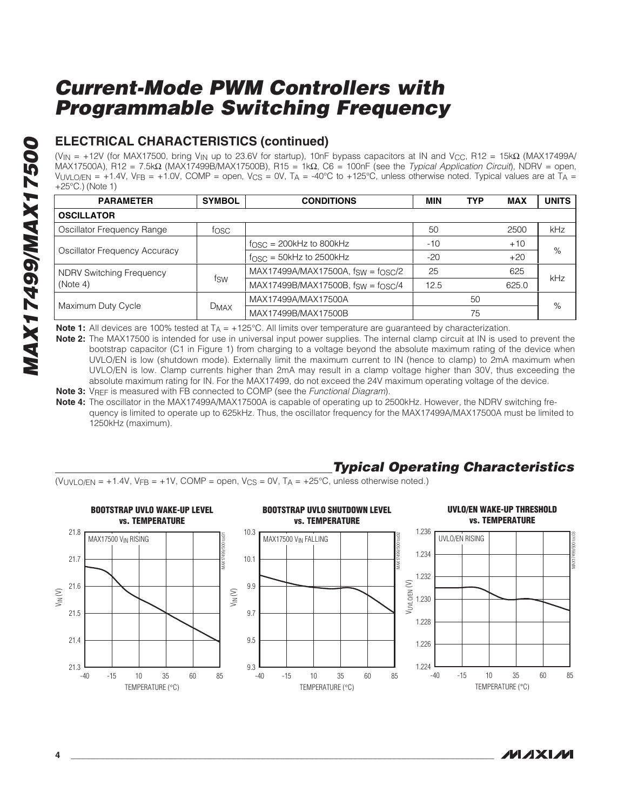## **ELECTRICAL CHARACTERISTICS (continued)**

(V<sub>IN</sub> = +12V (for MAX17500, bring V<sub>IN</sub> up to 23.6V for startup), 10nF bypass capacitors at IN and V<sub>CC</sub>, R12 = 15kΩ (MAX17499A/ MAX17500A), R12 = 7.5kΩ (MAX17499B/MAX17500B), R15 = 1kΩ, C6 = 100nF (see the Typical Application Circuit), NDRV = open, VUVLO/EN = +1.4V, VFB = +1.0V, COMP = open, VCS = 0V, TA = -40°C to +125°C, unless otherwise noted. Typical values are at TA = +25°C.) (Note 1)

| <b>SYMBOL</b><br><b>PARAMETER</b> |             | <b>CONDITIONS</b>                 | <b>MIN</b> | <b>TYP</b> | <b>MAX</b> | <b>UNITS</b> |  |
|-----------------------------------|-------------|-----------------------------------|------------|------------|------------|--------------|--|
| <b>OSCILLATOR</b>                 |             |                                   |            |            |            |              |  |
| Oscillator Frequency Range        | tosc        |                                   | 50         |            | 2500       | kHz          |  |
|                                   |             | $fOSC = 200kHz$ to 800kHz         | $-10$      |            | $+10$      | %            |  |
| Oscillator Frequency Accuracy     |             | $fOSC = 50kHz$ to 2500kHz         | $-20$      |            | $+20$      |              |  |
| <b>NDRV Switching Frequency</b>   | fsw         | MAX17499A/MAX17500A, fsw = fosc/2 | 25         |            | 625        | kHz          |  |
| (Note 4)                          |             | MAX17499B/MAX17500B, fsw = fosc/4 | 12.5       |            | 625.0      |              |  |
|                                   |             | MAX17499A/MAX17500A               |            | 50         |            |              |  |
| Maximum Duty Cycle                | <b>DMAX</b> | MAX17499B/MAX17500B               | 75         |            | %          |              |  |

**Note 1:** All devices are 100% tested at T<sub>A</sub> = +125°C. All limits over temperature are guaranteed by characterization.

**Note 2:** The MAX17500 is intended for use in universal input power supplies. The internal clamp circuit at IN is used to prevent the bootstrap capacitor (C1 in Figure 1) from charging to a voltage beyond the absolute maximum rating of the device when UVLO/EN is low (shutdown mode). Externally limit the maximum current to IN (hence to clamp) to 2mA maximum when UVLO/EN is low. Clamp currents higher than 2mA may result in a clamp voltage higher than 30V, thus exceeding the absolute maximum rating for IN. For the MAX17499, do not exceed the 24V maximum operating voltage of the device. **Note 3:** V<sub>REF</sub> is measured with FB connected to COMP (see the *Functional Diagram*).

**Note 4:** The oscillator in the MAX17499A/MAX17500A is capable of operating up to 2500kHz. However, the NDRV switching fre-

quency is limited to operate up to 625kHz. Thus, the oscillator frequency for the MAX17499A/MAX17500A must be limited to 1250kHz (maximum).

## **Typical Operating Characteristics**

 $(V_{\text{UVLO/EN}} = +1.4V, V_{\text{FB}} = +1V, \text{COMP} = \text{open}, V_{\text{CS}} = 0V, T_A = +25^{\circ}\text{C}, \text{unless otherwise noted.}$ 



/И / X I /И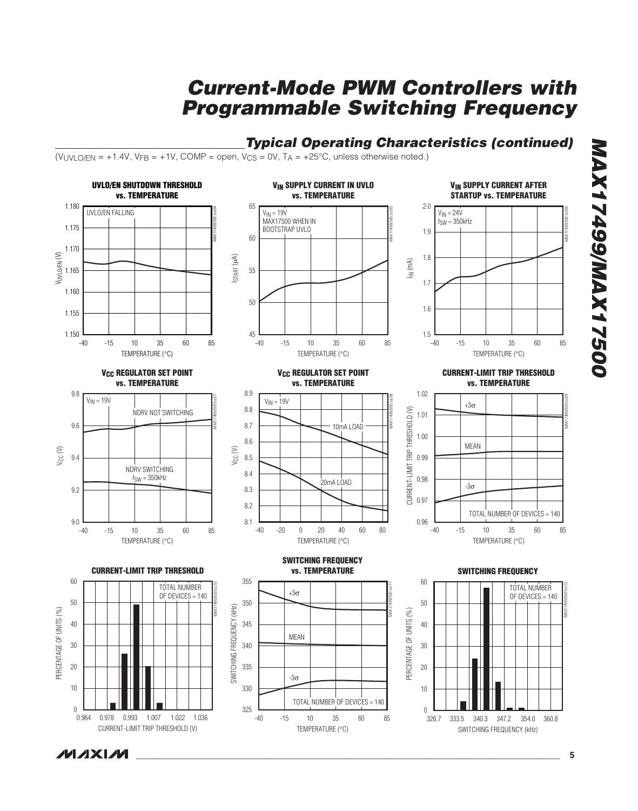## **Typical Operating Characteristics (continued)**

 $(VUVLO/EN = +1.4V, VFR = +1V, COMP = open, VCS = OV, T<sub>A</sub> = +25°C, unless otherwise noted.)$ 



**00521XVW/66t21XVW MAX17499/MAX17500**

**MAXM**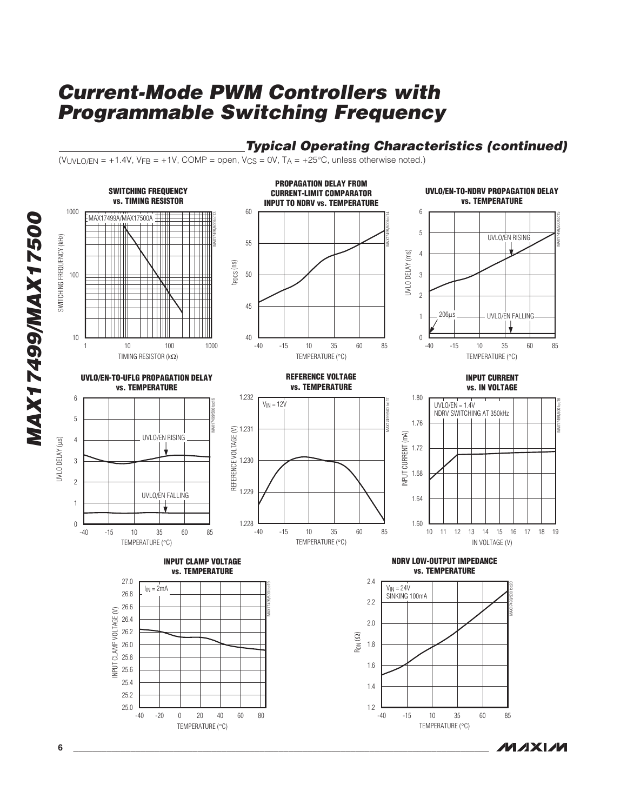## **Typical Operating Characteristics (continued)**

**MAXIM** 

(VUVLO/EN = +1.4V, V<sub>FB</sub> = +1V, COMP = open, V<sub>CS</sub> = 0V, T<sub>A</sub> = +25°C, unless otherwise noted.)



**MAX17499/MAX17500 MAX17499/MAX17500**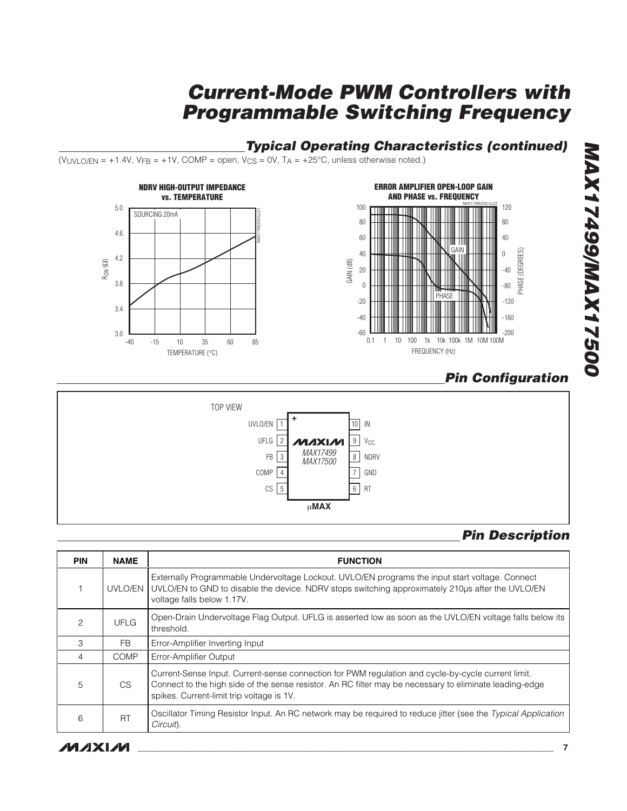## **Typical Operating Characteristics (continued)**

 $(VUVLO/EN = +1.4V, VFB = +1V, COMP = open, V_{CS} = 0V, T_A = +25°C$ , unless otherwise noted.)



## **Pin Configuration**



## **Pin Description**

| <b>PIN</b> | <b>NAME</b> | <b>FUNCTION</b>                                                                                                                                                                                                                                            |
|------------|-------------|------------------------------------------------------------------------------------------------------------------------------------------------------------------------------------------------------------------------------------------------------------|
|            | UVLO/EN     | Externally Programmable Undervoltage Lockout. UVLO/EN programs the input start voltage. Connect<br>UVLO/EN to GND to disable the device. NDRV stops switching approximately 210us after the UVLO/EN<br>voltage falls below 1.17V.                          |
| 2          | UFLG        | Open-Drain Undervoltage Flag Output. UFLG is asserted low as soon as the UVLO/EN voltage falls below its<br>threshold.                                                                                                                                     |
| 3          | FB.         | Error-Amplifier Inverting Input                                                                                                                                                                                                                            |
| 4          | <b>COMP</b> | Error-Amplifier Output                                                                                                                                                                                                                                     |
| 5          | CS.         | Current-Sense Input. Current-sense connection for PWM regulation and cycle-by-cycle current limit.<br>Connect to the high side of the sense resistor. An RC filter may be necessary to eliminate leading-edge<br>spikes. Current-limit trip voltage is 1V. |
| 6          | RT          | Oscillator Timing Resistor Input. An RC network may be required to reduce jitter (see the Typical Application<br>Circuit).                                                                                                                                 |

# **MAX17499/MAX17500 005217499/MAX17500**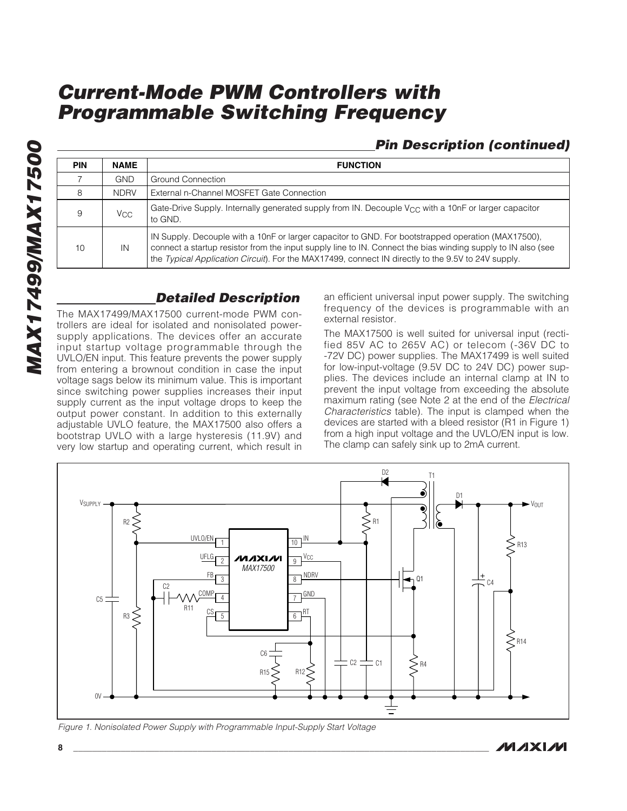## **Pin Description (continued)**

| <b>PIN</b> | <b>NAME</b>           | <b>FUNCTION</b>                                                                                                                                                                                                                                                                                                          |
|------------|-----------------------|--------------------------------------------------------------------------------------------------------------------------------------------------------------------------------------------------------------------------------------------------------------------------------------------------------------------------|
|            | <b>GND</b>            | Ground Connection                                                                                                                                                                                                                                                                                                        |
| 8          | <b>NDRV</b>           | External n-Channel MOSFET Gate Connection                                                                                                                                                                                                                                                                                |
| 9          | <b>V<sub>CC</sub></b> | Gate-Drive Supply. Internally generated supply from IN. Decouple $V_{CC}$ with a 10nF or larger capacitor<br>to GND.                                                                                                                                                                                                     |
| 10         | IN                    | IN Supply. Decouple with a 10nF or larger capacitor to GND. For bootstrapped operation (MAX17500),<br>connect a startup resistor from the input supply line to IN. Connect the bias winding supply to IN also (see<br>the Typical Application Circuit). For the MAX17499, connect IN directly to the 9.5V to 24V supply. |

## **Detailed Description**

The MAX17499/MAX17500 current-mode PWM controllers are ideal for isolated and nonisolated powersupply applications. The devices offer an accurate input startup voltage programmable through the UVLO/EN input. This feature prevents the power supply from entering a brownout condition in case the input voltage sags below its minimum value. This is important since switching power supplies increases their input supply current as the input voltage drops to keep the output power constant. In addition to this externally adjustable UVLO feature, the MAX17500 also offers a bootstrap UVLO with a large hysteresis (11.9V) and very low startup and operating current, which result in

an efficient universal input power supply. The switching frequency of the devices is programmable with an external resistor.

The MAX17500 is well suited for universal input (rectified 85V AC to 265V AC) or telecom (-36V DC to -72V DC) power supplies. The MAX17499 is well suited for low-input-voltage (9.5V DC to 24V DC) power supplies. The devices include an internal clamp at IN to prevent the input voltage from exceeding the absolute maximum rating (see Note 2 at the end of the Electrical Characteristics table). The input is clamped when the devices are started with a bleed resistor (R1 in Figure 1) from a high input voltage and the UVLO/EN input is low. The clamp can safely sink up to 2mA current.



Figure 1. Nonisolated Power Supply with Programmable Input-Supply Start Voltage

*IVI AXI AVI*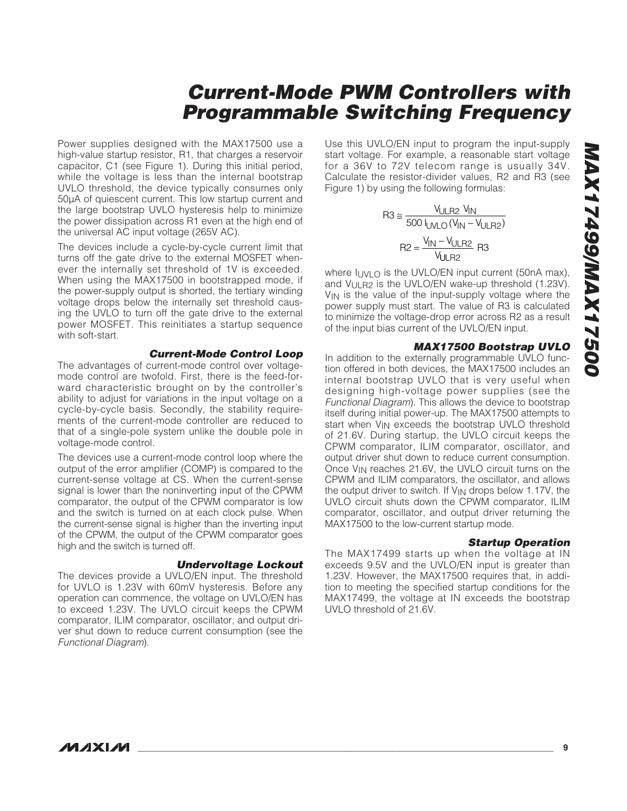Power supplies designed with the MAX17500 use a high-value startup resistor, R1, that charges a reservoir capacitor, C1 (see Figure 1). During this initial period, while the voltage is less than the internal bootstrap UVLO threshold, the device typically consumes only 50μA of quiescent current. This low startup current and the large bootstrap UVLO hysteresis help to minimize the power dissipation across R1 even at the high end of the universal AC input voltage (265V AC).

The devices include a cycle-by-cycle current limit that turns off the gate drive to the external MOSFET whenever the internally set threshold of 1V is exceeded. When using the MAX17500 in bootstrapped mode, if the power-supply output is shorted, the tertiary winding voltage drops below the internally set threshold causing the UVLO to turn off the gate drive to the external power MOSFET. This reinitiates a startup sequence with soft-start.

#### **Current-Mode Control Loop**

The advantages of current-mode control over voltagemode control are twofold. First, there is the feed-forward characteristic brought on by the controller's ability to adjust for variations in the input voltage on a cycle-by-cycle basis. Secondly, the stability requirements of the current-mode controller are reduced to that of a single-pole system unlike the double pole in voltage-mode control.

The devices use a current-mode control loop where the output of the error amplifier (COMP) is compared to the current-sense voltage at CS. When the current-sense signal is lower than the noninverting input of the CPWM comparator, the output of the CPWM comparator is low and the switch is turned on at each clock pulse. When the current-sense signal is higher than the inverting input of the CPWM, the output of the CPWM comparator goes high and the switch is turned off.

#### **Undervoltage Lockout**

The devices provide a UVLO/EN input. The threshold for UVLO is 1.23V with 60mV hysteresis. Before any operation can commence, the voltage on UVLO/EN has to exceed 1.23V. The UVLO circuit keeps the CPWM comparator, ILIM comparator, oscillator, and output driver shut down to reduce current consumption (see the Functional Diagram).

Use this UVLO/EN input to program the input-supply start voltage. For example, a reasonable start voltage for a 36V to 72V telecom range is usually 34V. Calculate the resistor-divider values, R2 and R3 (see Figure 1) by using the following formulas:

$$
R3 \approx \frac{V_{ULR2} V_{IN}}{500 V_{ULQ} (V_{IN} - V_{ULR2})}
$$

$$
R2 = \frac{V_{IN} - V_{ULR2}}{V_{ULR2}} R3
$$

where  $I_{UVI}$  o is the UVLO/EN input current (50nA max), and VULR<sub>2</sub> is the UVLO/EN wake-up threshold (1.23V). V<sub>IN</sub> is the value of the input-supply voltage where the power supply must start. The value of R3 is calculated to minimize the voltage-drop error across R2 as a result of the input bias current of the UVLO/EN input.

#### **MAX17500 Bootstrap UVLO**

In addition to the externally programmable UVLO function offered in both devices, the MAX17500 includes an internal bootstrap UVLO that is very useful when designing high-voltage power supplies (see the Functional Diagram). This allows the device to bootstrap itself during initial power-up. The MAX17500 attempts to start when V<sub>IN</sub> exceeds the bootstrap UVLO threshold of 21.6V. During startup, the UVLO circuit keeps the CPWM comparator, ILIM comparator, oscillator, and output driver shut down to reduce current consumption. Once V<sub>IN</sub> reaches 21.6V, the UVLO circuit turns on the CPWM and ILIM comparators, the oscillator, and allows the output driver to switch. If V<sub>IN</sub> drops below 1.17V, the UVLO circuit shuts down the CPWM comparator, ILIM comparator, oscillator, and output driver returning the MAX17500 to the low-current startup mode.

#### **Startup Operation**

The MAX17499 starts up when the voltage at IN exceeds 9.5V and the UVLO/EN input is greater than 1.23V. However, the MAX17500 requires that, in addition to meeting the specified startup conditions for the MAX17499, the voltage at IN exceeds the bootstrap UVLO threshold of 21.6V.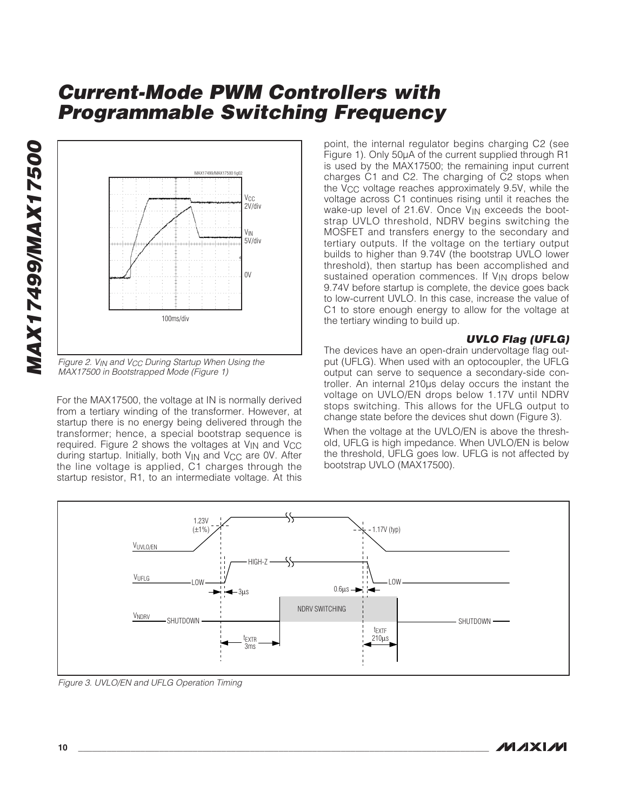

Figure 2.  $V_{IN}$  and  $V_{CC}$  During Startup When Using the MAX17500 in Bootstrapped Mode (Figure 1)

For the MAX17500, the voltage at IN is normally derived from a tertiary winding of the transformer. However, at startup there is no energy being delivered through the transformer; hence, a special bootstrap sequence is required. Figure 2 shows the voltages at VIN and V<sub>CC</sub> during startup. Initially, both  $V_{IN}$  and  $V_{CC}$  are OV. After the line voltage is applied, C1 charges through the startup resistor, R1, to an intermediate voltage. At this point, the internal regulator begins charging C2 (see Figure 1). Only 50μA of the current supplied through R1 is used by the MAX17500; the remaining input current charges C1 and C2. The charging of C2 stops when the  $V_{CC}$  voltage reaches approximately 9.5V, while the voltage across C1 continues rising until it reaches the wake-up level of 21.6V. Once V<sub>IN</sub> exceeds the bootstrap UVLO threshold, NDRV begins switching the MOSFET and transfers energy to the secondary and tertiary outputs. If the voltage on the tertiary output builds to higher than 9.74V (the bootstrap UVLO lower threshold), then startup has been accomplished and sustained operation commences. If V<sub>IN</sub> drops below 9.74V before startup is complete, the device goes back to low-current UVLO. In this case, increase the value of C1 to store enough energy to allow for the voltage at the tertiary winding to build up.

#### **UVLO Flag (UFLG)**

The devices have an open-drain undervoltage flag output (UFLG). When used with an optocoupler, the UFLG output can serve to sequence a secondary-side controller. An internal 210μs delay occurs the instant the voltage on UVLO/EN drops below 1.17V until NDRV stops switching. This allows for the UFLG output to change state before the devices shut down (Figure 3).

When the voltage at the UVLO/EN is above the threshold, UFLG is high impedance. When UVLO/EN is below the threshold, UFLG goes low. UFLG is not affected by bootstrap UVLO (MAX17500).



Figure 3. UVLO/EN and UFLG Operation Timing

**MAX17499/MAX17500**

MAX17499/MAX17500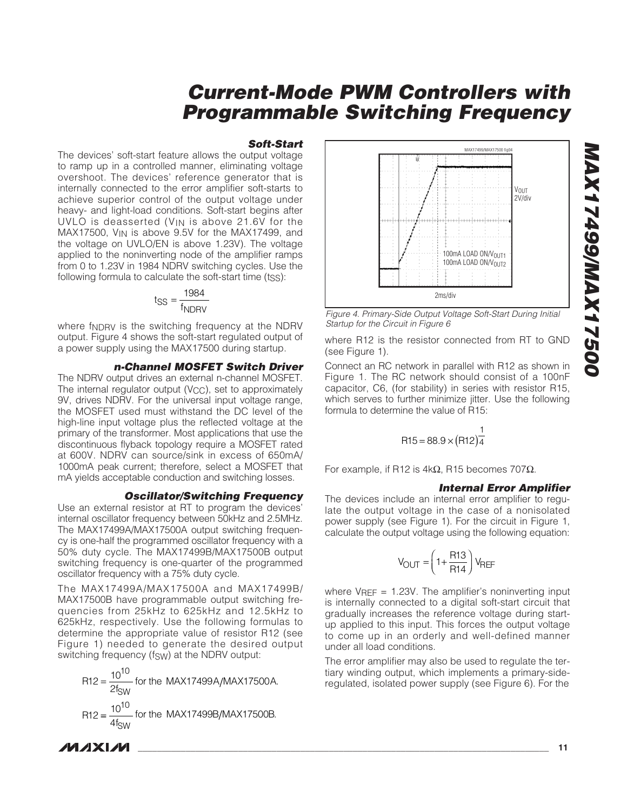#### **Soft-Start**

The devices' soft-start feature allows the output voltage to ramp up in a controlled manner, eliminating voltage overshoot. The devices' reference generator that is internally connected to the error amplifier soft-starts to achieve superior control of the output voltage under heavy- and light-load conditions. Soft-start begins after UVLO is deasserted (V<sub>IN</sub> is above 21.6V for the MAX17500, VIN is above 9.5V for the MAX17499, and the voltage on UVLO/EN is above 1.23V). The voltage applied to the noninverting node of the amplifier ramps from 0 to 1.23V in 1984 NDRV switching cycles. Use the following formula to calculate the soft-start time (tss):

$$
t_{SS} = \frac{1984}{f_{NDRV}}
$$

where fNDRV is the switching frequency at the NDRV output. Figure 4 shows the soft-start regulated output of a power supply using the MAX17500 during startup.

#### **n-Channel MOSFET Switch Driver**

The NDRV output drives an external n-channel MOSFET. The internal regulator output  $(V_{CC})$ , set to approximately 9V, drives NDRV. For the universal input voltage range, the MOSFET used must withstand the DC level of the high-line input voltage plus the reflected voltage at the primary of the transformer. Most applications that use the discontinuous flyback topology require a MOSFET rated at 600V. NDRV can source/sink in excess of 650mA/ 1000mA peak current; therefore, select a MOSFET that mA yields acceptable conduction and switching losses.

#### **Oscillator/Switching Frequency**

Use an external resistor at RT to program the devices' internal oscillator frequency between 50kHz and 2.5MHz. The MAX17499A/MAX17500A output switching frequency is one-half the programmed oscillator frequency with a 50% duty cycle. The MAX17499B/MAX17500B output switching frequency is one-quarter of the programmed oscillator frequency with a 75% duty cycle.

The MAX17499A/MAX17500A and MAX17499B/ MAX17500B have programmable output switching frequencies from 25kHz to 625kHz and 12.5kHz to 625kHz, respectively. Use the following formulas to determine the appropriate value of resistor R12 (see Figure 1) needed to generate the desired output switching frequency (fsw) at the NDRV output:

$$
R12 = \frac{10^{10}}{2f_{SW}} \text{ for the MAX17499A/MAX17500A.}
$$
  

$$
R12 = \frac{10^{10}}{4f_{SW}} \text{ for the MAX17499B/MAX17500B.}
$$

MAX17499/MAX17500 fig04 2ms/div VOUT 2V/div 100mA LOAD ON/VOUT1 100mA LOAD ON/VOUT2

Figure 4. Primary-Side Output Voltage Soft-Start During Initial Startup for the Circuit in Figure 6

where R12 is the resistor connected from RT to GND (see Figure 1).

Connect an RC network in parallel with R12 as shown in Figure 1. The RC network should consist of a 100nF capacitor, C6, (for stability) in series with resistor R15, which serves to further minimize jitter. Use the following formula to determine the value of R15:

$$
R15 = 88.9 \times (R12)^{\frac{1}{4}}
$$

For example, if R12 is 4kΩ, R15 becomes 707 $Ω$ .

#### **Internal Error Amplifier**

The devices include an internal error amplifier to regulate the output voltage in the case of a nonisolated power supply (see Figure 1). For the circuit in Figure 1, calculate the output voltage using the following equation:

$$
V_{OUT} = \left(1 + \frac{R13}{R14}\right) V_{REF}
$$

where  $V_{REF}$  = 1.23V. The amplifier's noninverting input is internally connected to a digital soft-start circuit that gradually increases the reference voltage during startup applied to this input. This forces the output voltage to come up in an orderly and well-defined manner under all load conditions.

The error amplifier may also be used to regulate the tertiary winding output, which implements a primary-sideregulated, isolated power supply (see Figure 6). For the

**MAXIM**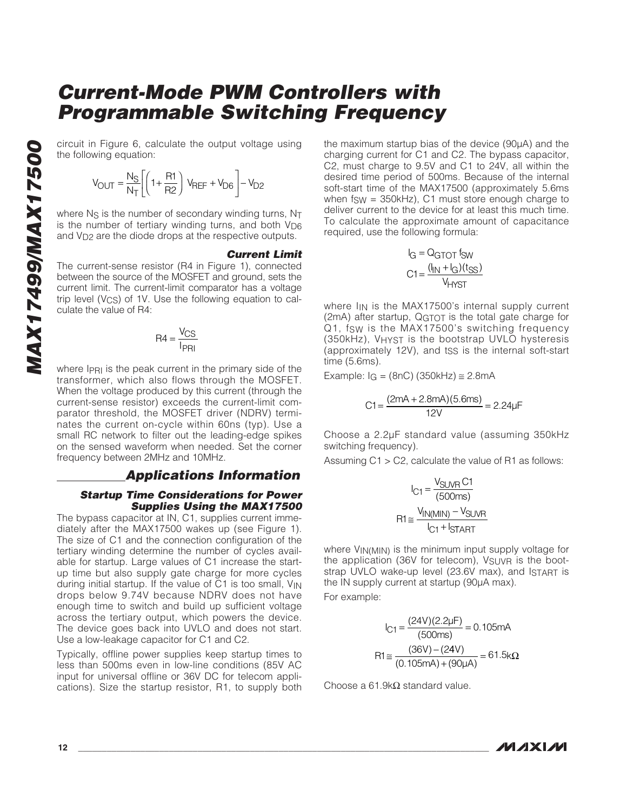the following equation:

$$
V_{\text{OUT}} = \frac{N_{\text{S}}}{N_{\text{T}}} \left[ \left( 1 + \frac{R1}{R2} \right) V_{\text{REF}} + V_{\text{DG}} \right] - V_{\text{D2}}
$$

where  $N_S$  is the number of secondary winding turns,  $N_T$ is the number of tertiary winding turns, and both  $V_{\text{D6}}$ and V<sub>D2</sub> are the diode drops at the respective outputs.

#### **Current Limit**

**MAX** of  $V_{\text{OUT}} = \frac{N_S}{N_T} \left[ \left( 1 + \frac{R1}{R2} \right) V_{\text{REF}} + V_{\text{D6}} \right] - V_{\text{D2}}$ <br>
where N<sub>S</sub> is the number of secondary winding turns, N<sub>T</sub><br>
is the number of tertiary winding turns, and both V<sub>D6</sub><br>
and V<sub>D2</sub> are the diode dr The current-sense resistor (R4 in Figure 1), connected between the source of the MOSFET and ground, sets the current limit. The current-limit comparator has a voltage trip level (V<sub>CS</sub>) of 1V. Use the following equation to calculate the value of R4:

$$
R4 = \frac{V_{CS}}{I_{PRI}}
$$

where IPRI is the peak current in the primary side of the transformer, which also flows through the MOSFET. When the voltage produced by this current (through the current-sense resistor) exceeds the current-limit comparator threshold, the MOSFET driver (NDRV) terminates the current on-cycle within 60ns (typ). Use a small RC network to filter out the leading-edge spikes on the sensed waveform when needed. Set the corner frequency between 2MHz and 10MHz.

#### **Applications Information**

#### **Startup Time Considerations for Power Supplies Using the MAX17500**

The bypass capacitor at IN, C1, supplies current immediately after the MAX17500 wakes up (see Figure 1). The size of C1 and the connection configuration of the tertiary winding determine the number of cycles available for startup. Large values of C1 increase the startup time but also supply gate charge for more cycles during initial startup. If the value of C1 is too small, VIN drops below 9.74V because NDRV does not have enough time to switch and build up sufficient voltage across the tertiary output, which powers the device. The device goes back into UVLO and does not start. Use a low-leakage capacitor for C1 and C2.

Typically, offline power supplies keep startup times to less than 500ms even in low-line conditions (85V AC input for universal offline or 36V DC for telecom applications). Size the startup resistor, R1, to supply both the maximum startup bias of the device (90μA) and the charging current for C1 and C2. The bypass capacitor, C2, must charge to 9.5V and C1 to 24V, all within the desired time period of 500ms. Because of the internal soft-start time of the MAX17500 (approximately 5.6ms when  $f_{SW}$  = 350kHz), C1 must store enough charge to deliver current to the device for at least this much time. To calculate the approximate amount of capacitance required, use the following formula:

$$
I_G = Q_{GTOT} \text{ fsw}
$$

$$
C1 = \frac{(I_{IN} + I_G)(t_{SS})}{V_{HYST}}
$$

where  $I_{IN}$  is the MAX17500's internal supply current (2mA) after startup, QGTOT is the total gate charge for Q1, fsw is the MAX17500's switching frequency (350kHz), VHYST is the bootstrap UVLO hysteresis (approximately 12V), and tss is the internal soft-start time (5.6ms).

Example:  $I_G = (8nC) (350kHz) \approx 2.8mA$ 

$$
C1 = \frac{(2mA + 2.8mA)(5.6ms)}{12V} = 2.24 \mu F
$$

Choose a 2.2μF standard value (assuming 350kHz switching frequency).

Assuming  $C1 > C2$ , calculate the value of R1 as follows:

$$
I_{C1} = \frac{V_{SUVR} C1}{(500ms)}
$$

$$
R1 \approx \frac{V_{IN(MIN)} - V_{SUVR}}{I_{C1} + I_{START}}
$$

where  $V_{IN(MIN)}$  is the minimum input supply voltage for the application (36V for telecom), VSUVR is the bootstrap UVLO wake-up level (23.6V max), and ISTART is the IN supply current at startup (90μA max).

For example:

$$
I_{C1} = \frac{(24V)(2.2\mu\text{F})}{(500\text{ms})} = 0.105\text{mA}
$$

$$
R1 \approx \frac{(36V) - (24V)}{(0.105\text{mA}) + (90\mu\text{A})} = 61.5\text{k}\Omega
$$

Choose a 61.9kΩ standard value.

**MAXIM**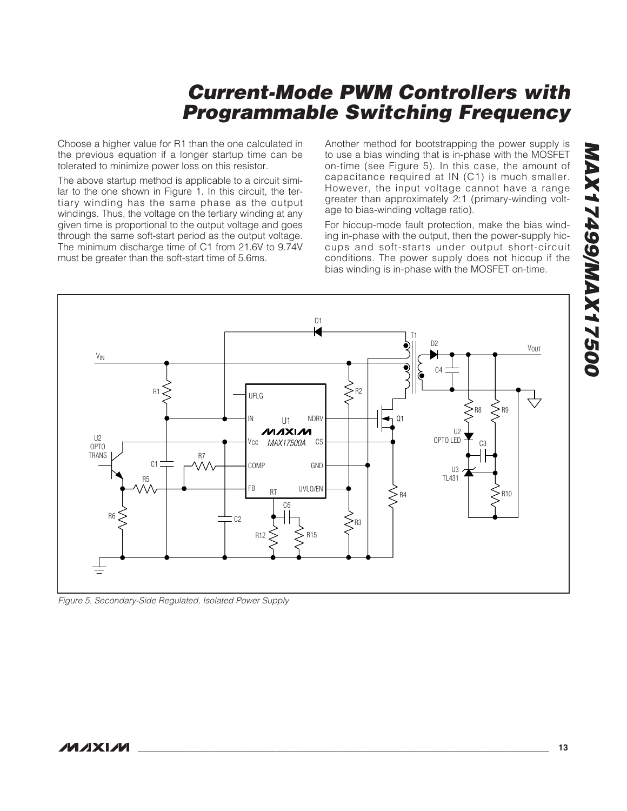Choose a higher value for R1 than the one calculated in the previous equation if a longer startup time can be tolerated to minimize power loss on this resistor.

The above startup method is applicable to a circuit similar to the one shown in Figure 1. In this circuit, the tertiary winding has the same phase as the output windings. Thus, the voltage on the tertiary winding at any given time is proportional to the output voltage and goes through the same soft-start period as the output voltage. The minimum discharge time of C1 from 21.6V to 9.74V must be greater than the soft-start time of 5.6ms.

Another method for bootstrapping the power supply is to use a bias winding that is in-phase with the MOSFET on-time (see Figure 5). In this case, the amount of capacitance required at IN (C1) is much smaller. However, the input voltage cannot have a range greater than approximately 2:1 (primary-winding voltage to bias-winding voltage ratio).

For hiccup-mode fault protection, make the bias winding in-phase with the output, then the power-supply hiccups and soft-starts under output short-circuit conditions. The power supply does not hiccup if the bias winding is in-phase with the MOSFET on-time.



Figure 5. Secondary-Side Regulated, Isolated Power Supply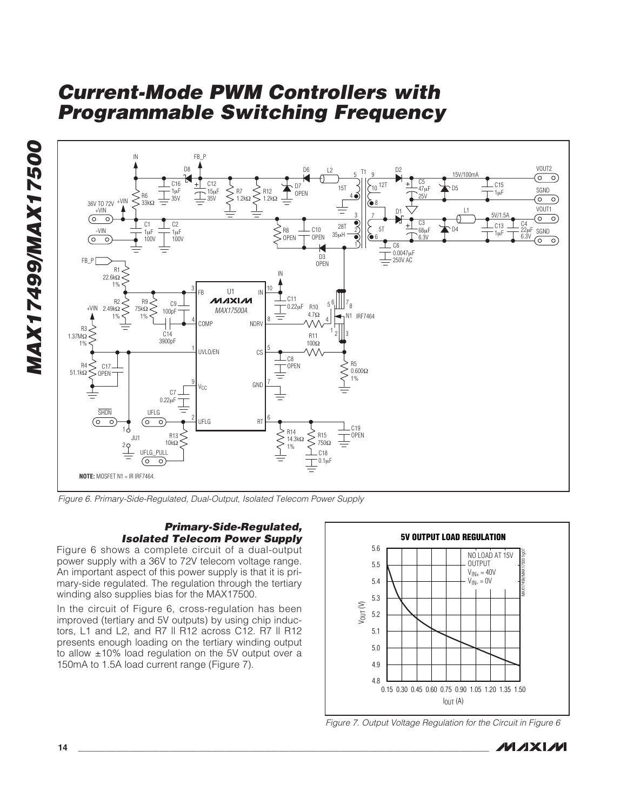



Figure 6. Primary-Side-Regulated, Dual-Output, Isolated Telecom Power Supply

#### **Primary-Side-Regulated, Isolated Telecom Power Supply**

Figure 6 shows a complete circuit of a dual-output power supply with a 36V to 72V telecom voltage range. An important aspect of this power supply is that it is primary-side regulated. The regulation through the tertiary winding also supplies bias for the MAX17500.

In the circuit of Figure 6, cross-regulation has been improved (tertiary and 5V outputs) by using chip inductors, L1 and L2, and R7 II R12 across C12. R7 II R12 presents enough loading on the tertiary winding output to allow ±10% load regulation on the 5V output over a 150mA to 1.5A load current range (Figure 7).



Figure 7. Output Voltage Regulation for the Circuit in Figure 6

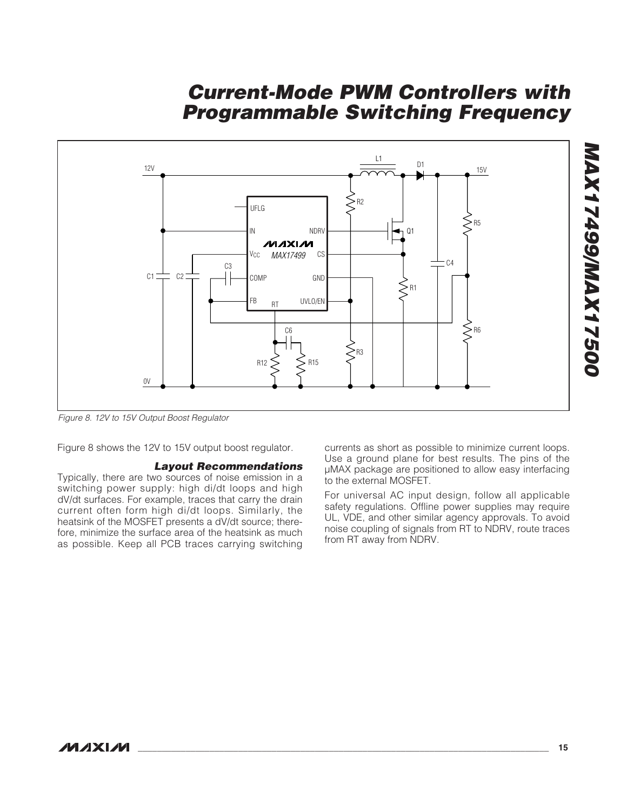

Figure 8. 12V to 15V Output Boost Regulator

Figure 8 shows the 12V to 15V output boost regulator.

#### **Layout Recommendations**

Typically, there are two sources of noise emission in a switching power supply: high di/dt loops and high dV/dt surfaces. For example, traces that carry the drain current often form high di/dt loops. Similarly, the heatsink of the MOSFET presents a dV/dt source; therefore, minimize the surface area of the heatsink as much as possible. Keep all PCB traces carrying switching

currents as short as possible to minimize current loops. Use a ground plane for best results. The pins of the μMAX package are positioned to allow easy interfacing to the external MOSFET.

For universal AC input design, follow all applicable safety regulations. Offline power supplies may require UL, VDE, and other similar agency approvals. To avoid noise coupling of signals from RT to NDRV, route traces from RT away from NDRV.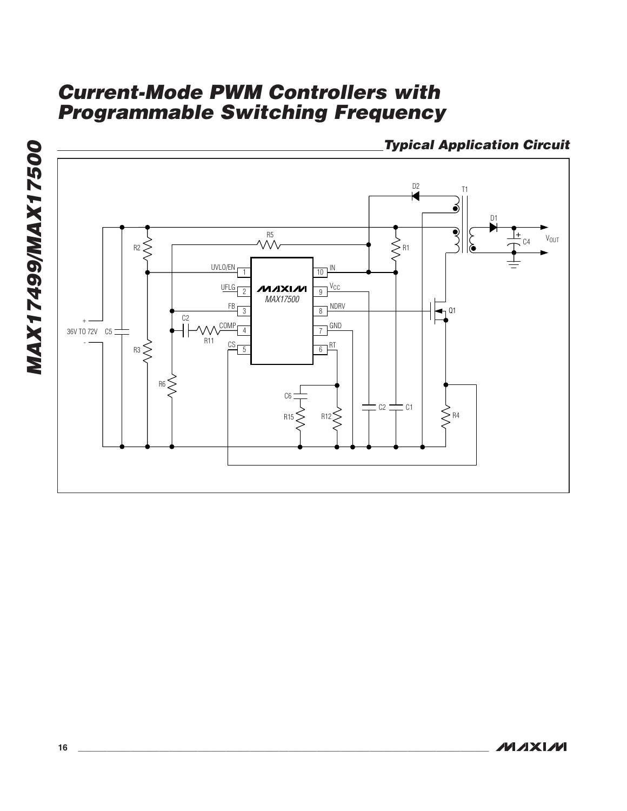**Typical Application Circuit**

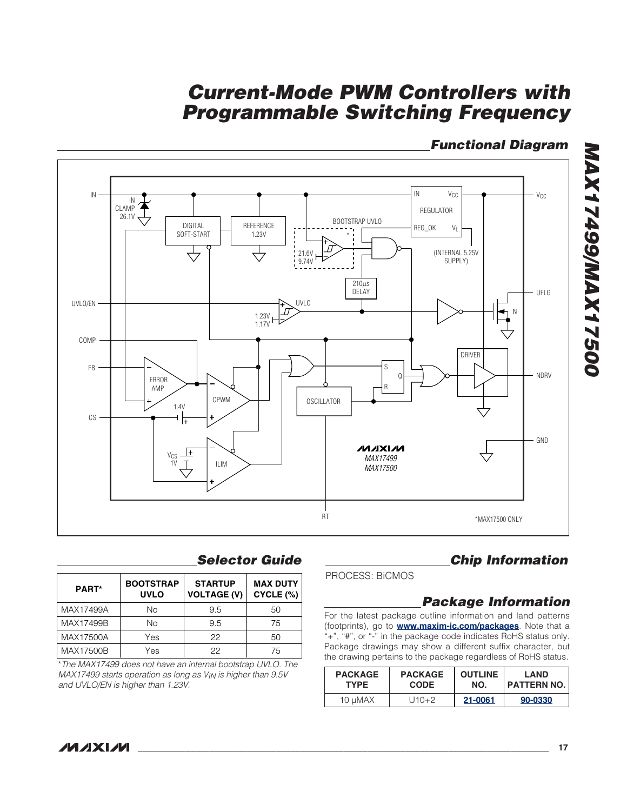## **Functional Diagram**



## **Selector Guide**

| <b>PART*</b> | <b>BOOTSTRAP</b><br><b>UVLO</b> | <b>STARTUP</b><br><b>VOLTAGE (V)</b> | <b>MAX DUTY</b><br>CYCLE (%) |
|--------------|---------------------------------|--------------------------------------|------------------------------|
| MAX17499A    | Νo                              | 9.5                                  | 50                           |
| MAX17499B    | <b>No</b>                       | 9.5                                  | 75                           |
| MAX17500A    | Yes                             | 22                                   | 50                           |
| MAX17500B    | Yes                             | 22                                   | 75                           |

\*The MAX17499 does not have an internal bootstrap UVLO. The MAX17499 starts operation as long as VIN is higher than 9.5V and UVLO/EN is higher than 1.23V.

## **Chip Information**

PROCESS: BiCMOS

## **Package Information**

For the latest package outline information and land patterns (footprints), go to **[www.maxim-ic.com/packages](http://www.maxim-ic.com/packages)**. Note that a "+", "#", or "-" in the package code indicates RoHS status only. Package drawings may show a different suffix character, but the drawing pertains to the package regardless of RoHS status.

| <b>PACKAGE</b> | <b>PACKAGE</b> | <b>OUTLINE</b> | LAND               |
|----------------|----------------|----------------|--------------------|
| <b>TYPE</b>    | <b>CODE</b>    | NO.            | <b>PATTERN NO.</b> |
| 10 uMAX        | U10+2          | 21-0061        | 90-0330            |

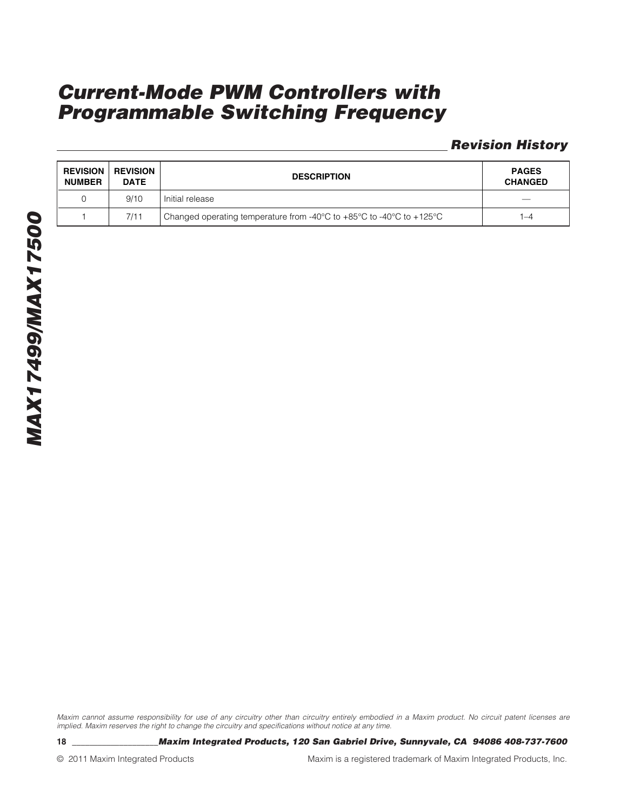## **Revision History**

| <b>REVISION</b><br><b>NUMBER</b> | <b>REVISION</b><br><b>DATE</b> | <b>DESCRIPTION</b>                                                                                               | <b>PAGES</b><br><b>CHANGED</b> |
|----------------------------------|--------------------------------|------------------------------------------------------------------------------------------------------------------|--------------------------------|
|                                  | 9/10                           | Initial release                                                                                                  | $\overline{\phantom{a}}$       |
|                                  | 7/11                           | Changed operating temperature from -40 $^{\circ}$ C to +85 $^{\circ}$ C to -40 $^{\circ}$ C to +125 $^{\circ}$ C | $-4$                           |

Maxim cannot assume responsibility for use of any circuitry other than circuitry entirely embodied in a Maxim product. No circuit patent licenses are implied. Maxim reserves the right to change the circuitry and specifications without notice at any time.

**18 \_\_\_\_\_\_\_\_\_\_\_\_\_\_\_\_\_\_\_\_Maxim Integrated Products, 120 San Gabriel Drive, Sunnyvale, CA 94086 408-737-7600**